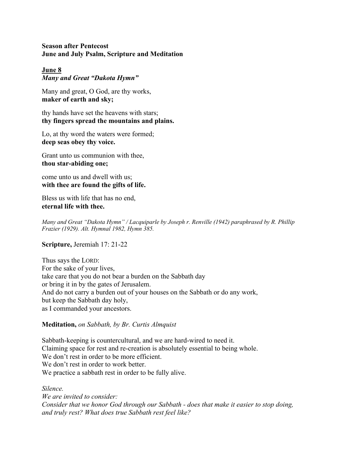### **Season after Pentecost June and July Psalm, Scripture and Meditation**

# **June 8**

*Many and Great "Dakota Hymn"*

Many and great, O God, are thy works, **maker of earth and sky;**

thy hands have set the heavens with stars; **thy fingers spread the mountains and plains.** 

Lo, at thy word the waters were formed; **deep seas obey thy voice.**

Grant unto us communion with thee, **thou star-abiding one;**

come unto us and dwell with us; **with thee are found the gifts of life.**

Bless us with life that has no end, **eternal life with thee.**

*Many and Great "Dakota Hymn" / Lacquiparle by Joseph r. Renville (1942) paraphrased by R. Phillip Frazier (1929). Alt. Hymnal 1982, Hymn 385.*

**Scripture,** Jeremiah 17: 21-22

Thus says the LORD: For the sake of your lives, take care that you do not bear a burden on the Sabbath day or bring it in by the gates of Jerusalem. And do not carry a burden out of your houses on the Sabbath or do any work, but keep the Sabbath day holy, as I commanded your ancestors.

## **Meditation,** *on Sabbath, by Br. Curtis Almquist*

Sabbath-keeping is countercultural, and we are hard-wired to need it. Claiming space for rest and re-creation is absolutely essential to being whole. We don't rest in order to be more efficient. We don't rest in order to work better. We practice a sabbath rest in order to be fully alive.

*Silence.*

*We are invited to consider: Consider that we honor God through our Sabbath - does that make it easier to stop doing, and truly rest? What does true Sabbath rest feel like?*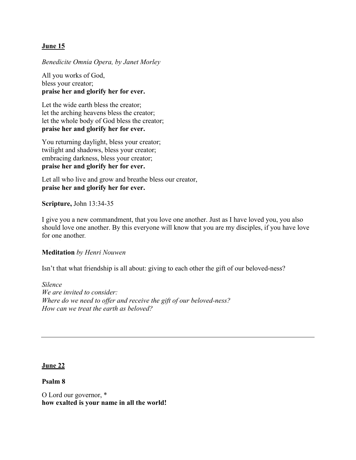## **June 15**

# *Benedicite Omnia Opera, by Janet Morley*

All you works of God, bless your creator; **praise her and glorify her for ever.**

Let the wide earth bless the creator; let the arching heavens bless the creator; let the whole body of God bless the creator; **praise her and glorify her for ever.**

You returning daylight, bless your creator; twilight and shadows, bless your creator; embracing darkness, bless your creator; **praise her and glorify her for ever.**

Let all who live and grow and breathe bless our creator, **praise her and glorify her for ever.**

**Scripture,** John 13:34-35

I give you a new commandment, that you love one another. Just as I have loved you, you also should love one another. By this everyone will know that you are my disciples, if you have love for one another*.* 

# **Meditation** *by Henri Nouwen*

Isn't that what friendship is all about: giving to each other the gift of our beloved-ness?

*Silence We are invited to consider: Where do we need to offer and receive the gift of our beloved-ness? How can we treat the earth as beloved?* 

## **June 22**

**Psalm 8**

O Lord our governor, \* **how exalted is your name in all the world!**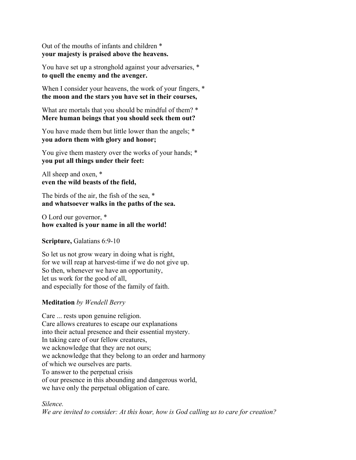Out of the mouths of infants and children \* **your majesty is praised above the heavens.**

You have set up a stronghold against your adversaries, \* **to quell the enemy and the avenger.**

When I consider your heavens, the work of your fingers,  $*$ **the moon and the stars you have set in their courses,**

What are mortals that you should be mindful of them? \* **Mere human beings that you should seek them out?**

You have made them but little lower than the angels; \* **you adorn them with glory and honor;**

You give them mastery over the works of your hands; \* **you put all things under their feet:**

All sheep and oxen, \* **even the wild beasts of the field,**

The birds of the air, the fish of the sea, \* **and whatsoever walks in the paths of the sea.**

O Lord our governor, \* **how exalted is your name in all the world!**

**Scripture,** Galatians 6:9-10

So let us not grow weary in doing what is right, for we will reap at harvest-time if we do not give up. So then, whenever we have an opportunity, let us work for the good of all, and especially for those of the family of faith.

### **Meditation** *by Wendell Berry*

Care ... rests upon genuine religion. Care allows creatures to escape our explanations into their actual presence and their essential mystery. In taking care of our fellow creatures, we acknowledge that they are not ours; we acknowledge that they belong to an order and harmony of which we ourselves are parts. To answer to the perpetual crisis of our presence in this abounding and dangerous world, we have only the perpetual obligation of care.

### *Silence.*

*We are invited to consider: At this hour, how is God calling us to care for creation?*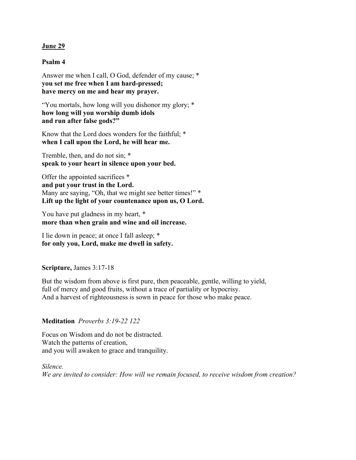### **June 29**

### **Psalm 4**

Answer me when I call, O God, defender of my cause; \* **you set me free when I am hard-pressed; have mercy on me and hear my prayer.**

"You mortals, how long will you dishonor my glory; \* **how long will you worship dumb idols and run after false gods?"**

Know that the Lord does wonders for the faithful; \* **when I call upon the Lord, he will hear me.**

Tremble, then, and do not sin; \* **speak to your heart in silence upon your bed.**

Offer the appointed sacrifices \* **and put your trust in the Lord.** Many are saying, "Oh, that we might see better times!" \* **Lift up the light of your countenance upon us, O Lord.**

You have put gladness in my heart, \* **more than when grain and wine and oil increase.**

I lie down in peace; at once I fall asleep; \* **for only you, Lord, make me dwell in safety.**

### **Scripture,** James 3:17-18

But the wisdom from above is first pure, then peaceable, gentle, willing to yield, full of mercy and good fruits, without a trace of partiality or hypocrisy. And a harvest of righteousness is sown in peace for those who make peace.

### **Meditation** *Proverbs 3:19-22 122*

Focus on Wisdom and do not be distracted. Watch the patterns of creation, and you will awaken to grace and tranquility.

*Silence. We are invited to consider: How will we remain focused, to receive wisdom from creation?*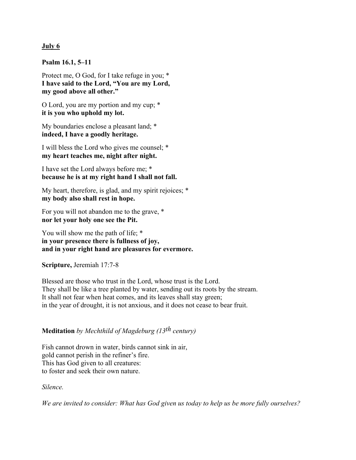### **July 6**

**Psalm 16.1, 5–11**

Protect me, O God, for I take refuge in you; \* **I have said to the Lord, "You are my Lord, my good above all other."**

O Lord, you are my portion and my cup; \* **it is you who uphold my lot.**

My boundaries enclose a pleasant land; \* **indeed, I have a goodly heritage.**

I will bless the Lord who gives me counsel; \* **my heart teaches me, night after night.**

I have set the Lord always before me; \* **because he is at my right hand I shall not fall.**

My heart, therefore, is glad, and my spirit rejoices; \* **my body also shall rest in hope.**

For you will not abandon me to the grave, \* **nor let your holy one see the Pit.**

You will show me the path of life; \* **in your presence there is fullness of joy, and in your right hand are pleasures for evermore.**

**Scripture,** Jeremiah 17:7-8

Blessed are those who trust in the Lord, whose trust is the Lord. They shall be like a tree planted by water, sending out its roots by the stream. It shall not fear when heat comes, and its leaves shall stay green; in the year of drought, it is not anxious, and it does not cease to bear fruit.

# **Meditation** *by Mechthild of Magdeburg (13th century)*

Fish cannot drown in water, birds cannot sink in air, gold cannot perish in the refiner's fire. This has God given to all creatures: to foster and seek their own nature.

*Silence.*

*We are invited to consider: What has God given us today to help us be more fully ourselves?*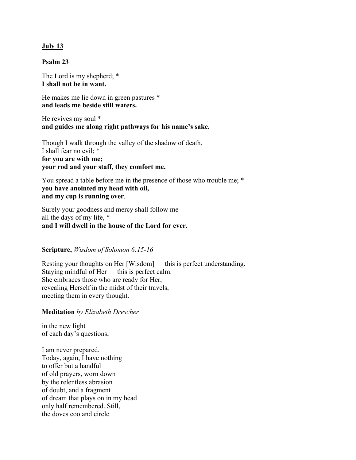### **July 13**

### **Psalm 23**

The Lord is my shepherd; \* **I shall not be in want.**

He makes me lie down in green pastures \* **and leads me beside still waters.**

He revives my soul \* **and guides me along right pathways for his name's sake.**

Though I walk through the valley of the shadow of death, I shall fear no evil; \* **for you are with me; your rod and your staff, they comfort me.**

You spread a table before me in the presence of those who trouble me; \* **you have anointed my head with oil, and my cup is running over**.

Surely your goodness and mercy shall follow me all the days of my life, \* **and I will dwell in the house of the Lord for ever.**

### **Scripture,** *Wisdom of Solomon 6:15-16*

Resting your thoughts on Her [Wisdom] — this is perfect understanding. Staying mindful of Her — this is perfect calm. She embraces those who are ready for Her, revealing Herself in the midst of their travels, meeting them in every thought.

### **Meditation** *by Elizabeth Drescher*

in the new light of each day's questions,

I am never prepared. Today, again, I have nothing to offer but a handful of old prayers, worn down by the relentless abrasion of doubt, and a fragment of dream that plays on in my head only half remembered. Still, the doves coo and circle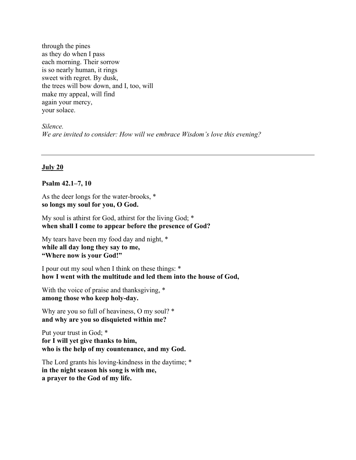through the pines as they do when I pass each morning. Their sorrow is so nearly human, it rings sweet with regret. By dusk, the trees will bow down, and I, too, will make my appeal, will find again your mercy, your solace.

*Silence. We are invited to consider: How will we embrace Wisdom's love this evening?* 

### **July 20**

### **Psalm 42.1–7, 10**

As the deer longs for the water-brooks, \* **so longs my soul for you, O God.**

My soul is athirst for God, athirst for the living God; \* **when shall I come to appear before the presence of God?**

My tears have been my food day and night, \* **while all day long they say to me, "Where now is your God!"**

I pour out my soul when I think on these things: \* **how I went with the multitude and led them into the house of God,**

With the voice of praise and thanksgiving,  $*$ **among those who keep holy-day.**

Why are you so full of heaviness, O my soul? \* **and why are you so disquieted within me?**

Put your trust in God; \* **for I will yet give thanks to him, who is the help of my countenance, and my God.**

The Lord grants his loving-kindness in the daytime; \* **in the night season his song is with me, a prayer to the God of my life.**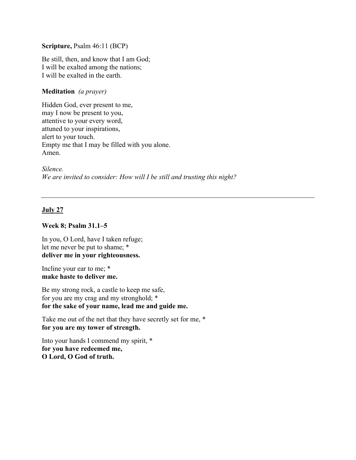### **Scripture,** Psalm 46:11 (BCP)

Be still, then, and know that I am God; I will be exalted among the nations; I will be exalted in the earth.

### **Meditation** *(a prayer)*

Hidden God, ever present to me, may I now be present to you, attentive to your every word, attuned to your inspirations, alert to your touch. Empty me that I may be filled with you alone. Amen.

*Silence. We are invited to consider: How will I be still and trusting this night?* 

### **July 27**

### **Week 8; Psalm 31.1–5**

In you, O Lord, have I taken refuge; let me never be put to shame; \* **deliver me in your righteousness.**

Incline your ear to me; \* **make haste to deliver me.**

Be my strong rock, a castle to keep me safe, for you are my crag and my stronghold; \* **for the sake of your name, lead me and guide me.**

Take me out of the net that they have secretly set for me, \* **for you are my tower of strength.**

Into your hands I commend my spirit, \* **for you have redeemed me, O Lord, O God of truth.**